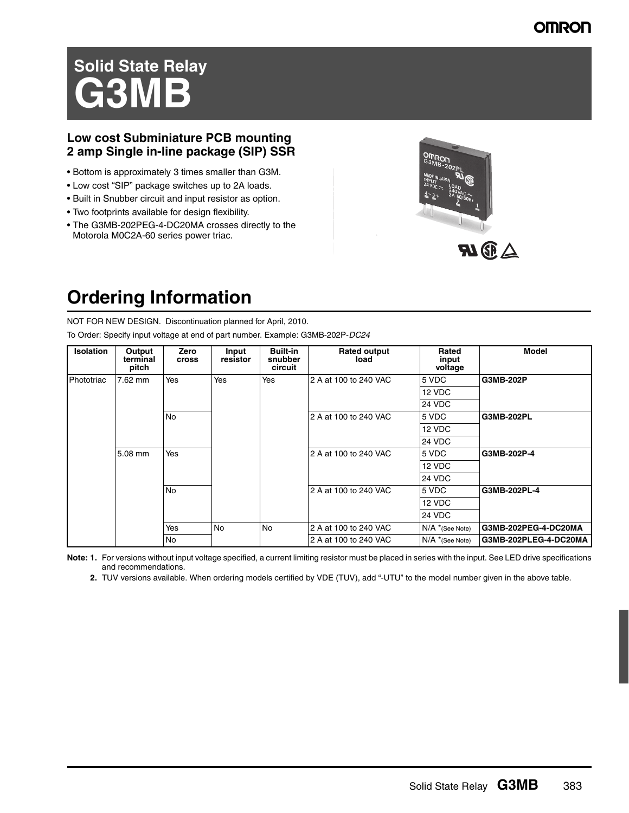### **OMRON**

# **Solid State Relay GB1M**

### **Low cost Subminiature PCB mounting 2 amp Single in-line package (SIP) SSR**

- Bottom is approximately 3 times smaller than G3M.
- Low cost "SIP" package switches up to 2A loads.
- Built in Snubber circuit and input resistor as option.
- Two footprints available for design flexibility.
- The G3MB-202PEG-4-DC20MA crosses directly to the Motorola M0C2A-60 series power triac.



# **Ordering Information**

NOT FOR NEW DESIGN. Discontinuation planned for April, 2010.

To Order: Specify input voltage at end of part number. Example: G3MB-202P-*DC24*

| <b>Isolation</b> | Output<br>terminal<br>pitch | Zero<br><b>Cross</b> | Input<br>resistor | <b>Built-in</b><br>snubber<br>circuit | <b>Rated output</b><br>load | Rated<br>input<br>voltage | Model                 |
|------------------|-----------------------------|----------------------|-------------------|---------------------------------------|-----------------------------|---------------------------|-----------------------|
| Phototriac       | 7.62 mm                     | Yes                  | Yes               | Yes                                   | 2 A at 100 to 240 VAC       | 5 VDC                     | G3MB-202P             |
|                  |                             |                      |                   |                                       |                             | 12 VDC                    |                       |
|                  |                             |                      |                   |                                       |                             | 24 VDC                    |                       |
|                  |                             | <b>No</b>            |                   |                                       | 2 A at 100 to 240 VAC       | 5 VDC                     | G3MB-202PL            |
|                  |                             |                      |                   |                                       | 2 A at 100 to 240 VAC       | 12 VDC                    |                       |
|                  |                             |                      |                   |                                       |                             | 24 VDC                    |                       |
|                  | 5.08 mm                     | Yes                  |                   |                                       |                             | 5 VDC                     | G3MB-202P-4           |
|                  |                             |                      |                   |                                       |                             | 12 VDC                    |                       |
|                  |                             |                      |                   |                                       |                             | 24 VDC                    |                       |
|                  |                             | <b>No</b>            |                   |                                       | 2 A at 100 to 240 VAC       | 5 VDC                     | G3MB-202PL-4          |
|                  |                             |                      |                   |                                       |                             | 12 VDC                    |                       |
|                  |                             |                      |                   |                                       |                             | <b>24 VDC</b>             |                       |
|                  |                             | Yes                  | <b>No</b>         | <b>No</b>                             | 2 A at 100 to 240 VAC       | $N/A$ *(See Note)         | G3MB-202PEG-4-DC20MA  |
|                  |                             | <b>No</b>            |                   |                                       | 2 A at 100 to 240 VAC       | $N/A$ *(See Note)         | G3MB-202PLEG-4-DC20MA |

**Note: 1.** For versions without input voltage specified, a current limiting resistor must be placed in series with the input. See LED drive specifications and recommendations.

**2.** TUV versions available. When ordering models certified by VDE (TUV), add "-UTU" to the model number given in the above table.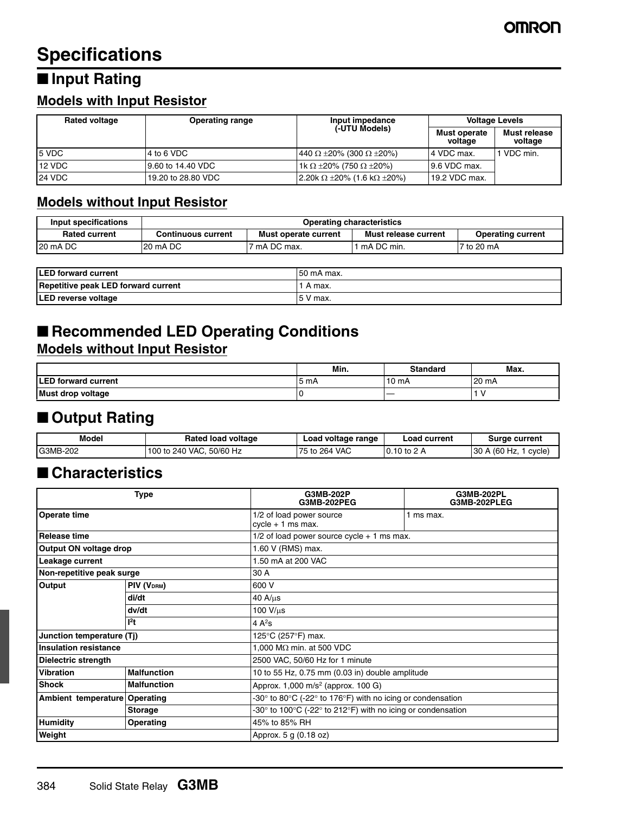# **Specifications**

# ■ **Input Rating**

# **Models with Input Resistor**

| <b>Rated voltage</b> | <b>Operating range</b> | Input impedance                               | <b>Voltage Levels</b>   |                         |
|----------------------|------------------------|-----------------------------------------------|-------------------------|-------------------------|
|                      |                        | (-UTU Models)                                 | Must operate<br>voltage | Must release<br>voltage |
| 5 VDC                | 4 to 6 VDC             | 440 $\Omega$ ±20% (300 $\Omega$ ±20%)         | 4 VDC max.              | VDC min.                |
| 12 VDC               | 19.60 to 14.40 VDC     | 1k Ω ±20% (750 Ω ±20%)                        | 9.6 VDC max.            |                         |
| <b>24 VDC</b>        | 19.20 to 28.80 VDC     | $12.20$ k $\Omega$ ±20% (1.6 k $\Omega$ ±20%) | 19.2 VDC max.           |                         |

### **Models without Input Resistor**

| Input specifications | <b>Operating characteristics</b>           |              |                                                  |             |  |
|----------------------|--------------------------------------------|--------------|--------------------------------------------------|-------------|--|
| <b>Rated current</b> | Must operate current<br>Continuous current |              | Must release current<br><b>Operating current</b> |             |  |
| 20 mA DC             | 20 mA DC                                   | 7 mA DC max. | ` mA DC min.                                     | 17 to 20 mA |  |

| <b>ILED forward current</b>         | 50 mA max. |
|-------------------------------------|------------|
| Repetitive peak LED forward current | A max.     |
| <b>LED reverse voltage</b>          | 15 V max.  |

# ■ **Recommended LED Operating Conditions**

### **Models without Input Resistor**

|                             | Min.  | Standard | Max.  |
|-----------------------------|-------|----------|-------|
| <b>ILED forward current</b> | '5 mA | 10 $mA$  | 20 mA |
| Must drop voltage           |       |          |       |

# ■ Output Rating

| Model    | Rated load voltage          | Load voltage range | <b>Load current</b> | Surge current         |
|----------|-----------------------------|--------------------|---------------------|-----------------------|
| G3MB-202 | 100 to 240 VAC.<br>50/60 Hz | · VAC<br>75 to 264 | $0.10$ to 2 A       | 30 A (60 Hz.<br>cycle |

### ■ **Characteristics**

| Type                                            |                            | G3MB-202P<br><b>G3MB-202PEG</b>                          | G3MB-202PL<br>G3MB-202PLEG                                                                       |  |  |
|-------------------------------------------------|----------------------------|----------------------------------------------------------|--------------------------------------------------------------------------------------------------|--|--|
| <b>Operate time</b>                             |                            | 1/2 of load power source<br>$cycle + 1$ ms max.          | 1 ms max.                                                                                        |  |  |
| Release time                                    |                            | $1/2$ of load power source cycle $+1$ ms max.            |                                                                                                  |  |  |
| Output ON voltage drop                          |                            | 1.60 V (RMS) max.                                        |                                                                                                  |  |  |
| Leakage current                                 |                            | 1.50 mA at 200 VAC                                       |                                                                                                  |  |  |
| Non-repetitive peak surge                       |                            | 30 A                                                     |                                                                                                  |  |  |
| Output                                          | PIV (V <sub>DRM</sub> )    | 600 V                                                    |                                                                                                  |  |  |
|                                                 | di/dt                      | $40 A/\mu s$                                             |                                                                                                  |  |  |
|                                                 | dv/dt                      | 100 V/us                                                 |                                                                                                  |  |  |
| $12$ t                                          |                            | 4 $A^2$ s                                                |                                                                                                  |  |  |
| Junction temperature (Tj)                       |                            | 125°C (257°F) max.                                       |                                                                                                  |  |  |
| <b>Insulation resistance</b>                    |                            | 1,000 M $\Omega$ min. at 500 VDC                         |                                                                                                  |  |  |
| <b>Dielectric strength</b>                      |                            | 2500 VAC, 50/60 Hz for 1 minute                          |                                                                                                  |  |  |
| <b>Vibration</b>                                | <b>Malfunction</b>         | 10 to 55 Hz, 0.75 mm (0.03 in) double amplitude          |                                                                                                  |  |  |
| <b>Shock</b>                                    | <b>Malfunction</b>         | Approx. $1,000 \text{ m/s}^2$ (approx. $100 \text{ G}$ ) |                                                                                                  |  |  |
| Ambient temperature Operating<br><b>Storage</b> |                            |                                                          | -30 $\degree$ to 80 $\degree$ C (-22 $\degree$ to 176 $\degree$ F) with no icing or condensation |  |  |
|                                                 |                            |                                                          | -30° to 100°C (-22° to 212°F) with no icing or condensation                                      |  |  |
| <b>Humidity</b>                                 | 45% to 85% RH<br>Operating |                                                          |                                                                                                  |  |  |
| Weight                                          |                            | Approx. 5 g (0.18 oz)                                    |                                                                                                  |  |  |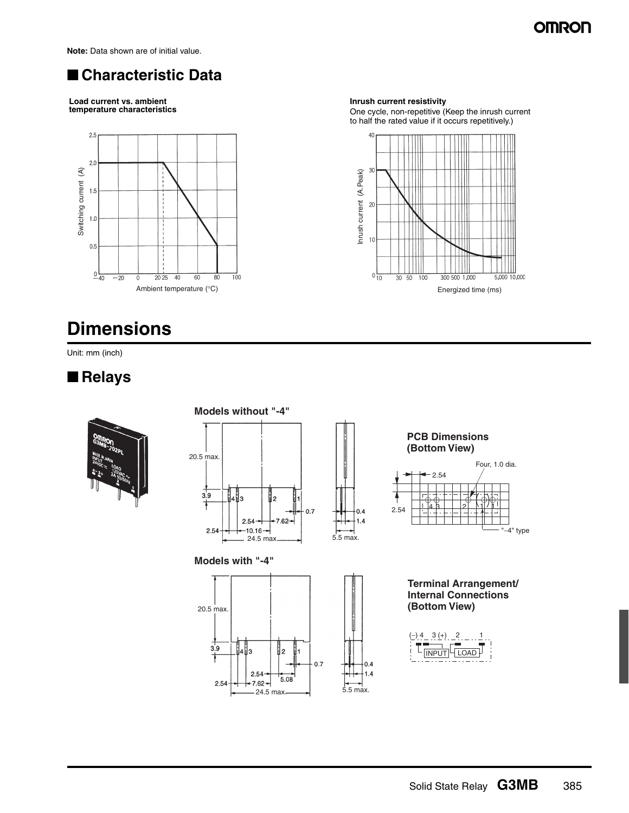# **OMRON**

**Note:** Data shown are of initial value.

# ■ **Characteristic Data**

**Load current vs. ambient temperature characteristics**



# **Dimensions**

Unit: mm (inch)

### ■ **Relays**



### **Models without "-4"** 20.5 max.  $3.9$ 4∥з l2  $0.7$  $2.54$  $7.62$

 $-10.16 -$ 

**Models with "-4"**

2.54



 $-24.5 \text{ max.}$  5.5 max.

 $0.4$  $1.4$ 

 $0.4$ 

 $1.4$ 



One cycle, non-repetitive (Keep the inrush current to half the rated value if it occurs repetitively.)





**Terminal Arrangement/ Internal Connections (Bottom View)**

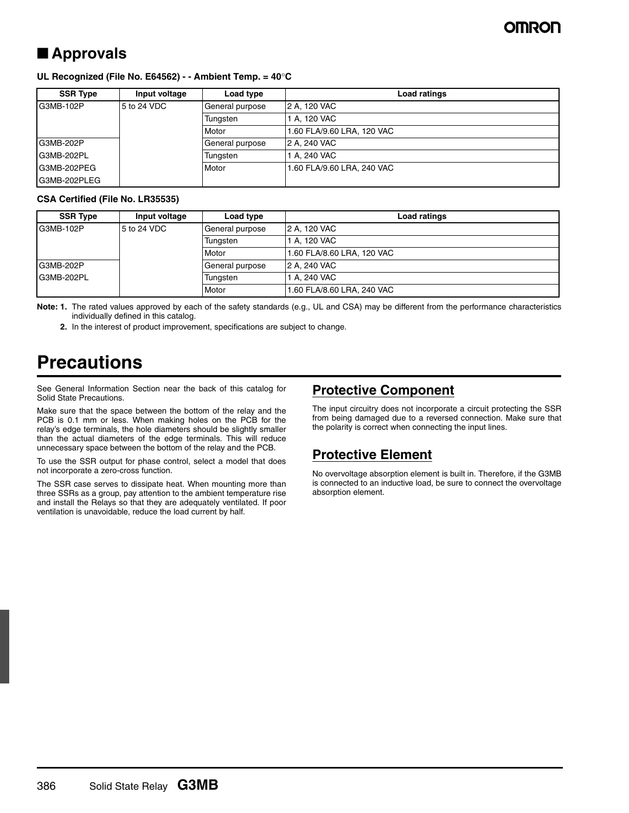# ■ **Approvals**

#### **UL Recognized (File No. E64562) - - Ambient Temp. = 40**°**C**

| <b>SSR Type</b> | Input voltage | Load type       | Load ratings               |
|-----------------|---------------|-----------------|----------------------------|
| G3MB-102P       | 5 to 24 VDC   | General purpose | 2 A. 120 VAC               |
|                 |               | Tungsten        | 1 A. 120 VAC               |
|                 |               | Motor           | 1.60 FLA/9.60 LRA, 120 VAC |
| G3MB-202P       |               | General purpose | 2 A. 240 VAC               |
| G3MB-202PL      |               | Tungsten        | 1 A. 240 VAC               |
| G3MB-202PEG     |               | Motor           | 1.60 FLA/9.60 LRA, 240 VAC |
| IG3MB-202PLEG   |               |                 |                            |

#### **CSA Certified (File No. LR35535)**

| <b>SSR Type</b> | Input voltage | Load type       | Load ratings               |
|-----------------|---------------|-----------------|----------------------------|
| G3MB-102P       | 5 to 24 VDC   | General purpose | 2 A. 120 VAC               |
|                 |               | Tungsten        | 1 A. 120 VAC               |
|                 |               | Motor           | 1.60 FLA/8.60 LRA, 120 VAC |
| G3MB-202P       |               | General purpose | 2 A. 240 VAC               |
| G3MB-202PL      |               | Tungsten        | 1 A. 240 VAC               |
|                 |               | Motor           | 1.60 FLA/8.60 LRA, 240 VAC |

**Note: 1.** The rated values approved by each of the safety standards (e.g., UL and CSA) may be different from the performance characteristics individually defined in this catalog.

**2.** In the interest of product improvement, specifications are subject to change.

# **Precautions**

See General Information Section near the back of this catalog for Solid State Precautions.

Make sure that the space between the bottom of the relay and the PCB is 0.1 mm or less. When making holes on the PCB for the relay's edge terminals, the hole diameters should be slightly smaller than the actual diameters of the edge terminals. This will reduce unnecessary space between the bottom of the relay and the PCB.

To use the SSR output for phase control, select a model that does not incorporate a zero-cross function.

The SSR case serves to dissipate heat. When mounting more than three SSRs as a group, pay attention to the ambient temperature rise and install the Relays so that they are adequately ventilated. If poor ventilation is unavoidable, reduce the load current by half.

### **Protective Component**

The input circuitry does not incorporate a circuit protecting the SSR from being damaged due to a reversed connection. Make sure that the polarity is correct when connecting the input lines.

### **Protective Element**

No overvoltage absorption element is built in. Therefore, if the G3MB is connected to an inductive load, be sure to connect the overvoltage absorption element.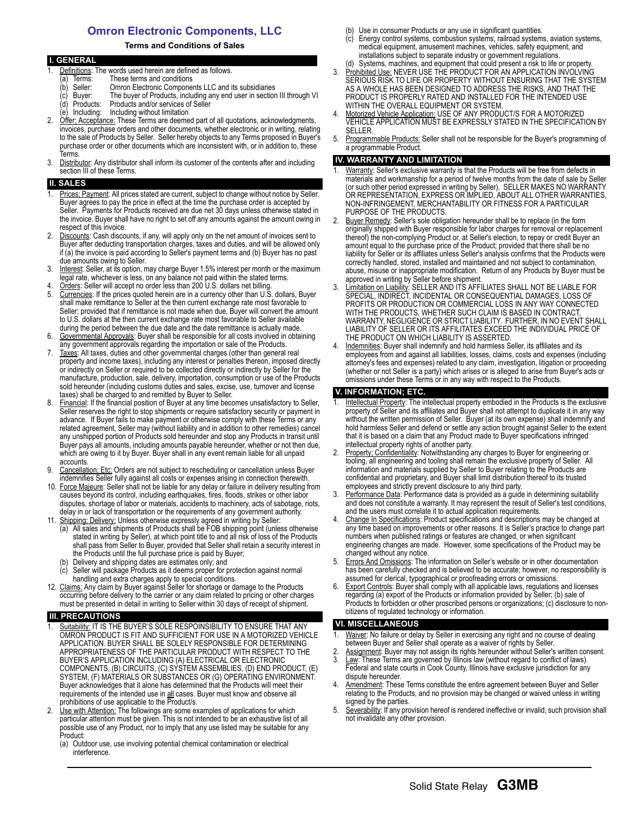### **Omron Electronic Components, LLC**

#### **Terms and Conditions of Sales**

|    | <b>I. GENERAL</b>                                                                         |
|----|-------------------------------------------------------------------------------------------|
|    | Definitions: The words used herein are defined as follows.                                |
|    | These terms and conditions<br>Terms:<br>a)                                                |
|    | Omron Electronic Components LLC and its subsidiaries<br>Seller:<br>(b                     |
|    | The buyer of Products, including any end user in section III through VI<br>(c) Buyer:     |
|    | Products and/or services of Seller<br>(d) Products:                                       |
|    | (e) Including: Including without limitation                                               |
| 2. | Offer: Acceptance: These Terms are deemed part of all quotations, acknowledgments,        |
|    | invoices, purchase orders and other documents, whether electronic or in writing, relating |
|    | to the sale of Products by Seller. Seller hereby objects to any Terms proposed in Buyer's |
|    | purchase order or other documents which are inconsistent with, or in addition to, these   |
|    | Terms.                                                                                    |

3. Distributor: Any distributor shall inform its customer of the contents after and including section III of these Terms.

#### **SALES**

- Prices: Payment: All prices stated are current, subject to change without notice by Seller. Buyer agrees to pay the price in effect at the time the purchase order is accepted by Seller. Payments for Products received are due net 30 days unless otherwise stated in the invoice. Buyer shall have no right to set off any amounts against the amount owing in respect of this invoice.
- Discounts: Cash discounts, if any, will apply only on the net amount of invoices sent to Buyer after deducting transportation charges, taxes and duties, and will be allowed only if (a) the invoice is paid according to Seller's payment terms and (b) Buyer has no past due amounts owing to Seller.
- 3. Interest: Seller, at its option, may charge Buyer 1.5% interest per month or the maximum legal rate, whichever is less, on any balance not paid within the stated terms.
- 4. Orders: Seller will accept no order less than 200 U.S. dollars net billing.<br>5. Currencies: If the prices quoted herein are in a currency other than U.S. Currencies: If the prices quoted herein are in a currency other than U.S. dollars, Buyer shall make remittance to Seller at the then current exchange rate most favorable to Seller; provided that if remittance is not made when due, Buyer will convert the amount to U.S. dollars at the then current exchange rate most favorable to Seller available during the period between the due date and the date remittance is actually made.
- 6. Governmental Approvals: Buyer shall be responsible for all costs involved in obtaining any government approvals regarding the importation or sale of the Products.
- 7. Taxes: All taxes, duties and other governmental charges (other than general real property and income taxes), including any interest or penalties thereon, imposed directly or indirectly on Seller or required to be collected directly or indirectly by Seller for the manufacture, production, sale, delivery, importation, consumption or use of the Products sold hereunder (including customs duties and sales, excise, use, turnover and license taxes) shall be charged to and remitted by Buyer to Seller.
- 8. Financial: If the financial position of Buyer at any time becomes unsatisfactory to Seller, Seller reserves the right to stop shipments or require satisfactory security or payment in advance. If Buyer fails to make payment or otherwise comply with these Terms or any related agreement, Seller may (without liability and in addition to other remedies) cancel any unshipped portion of Products sold hereunder and stop any Products in transit until Buyer pays all amounts, including amounts payable hereunder, whether or not then due, which are owing to it by Buyer. Buyer shall in any event remain liable for all unpaid accounts.
- 9. Cancellation; Etc: Orders are not subject to rescheduling or cancellation unless Buyer indemnifies Seller fully against all costs or expenses arising in connection therewith.
- 10. Force Majeure: Seller shall not be liable for any delay or failure in delivery resulting from causes beyond its control, including earthquakes, fires, floods, strikes or other labor disputes, shortage of labor or materials, accidents to machinery, acts of sabotage, riots, delay in or lack of transportation or the requirements of any government authority.
- 11. Shipping; Delivery: Unless otherwise expressly agreed in writing by Seller:
	- (a) All sales and shipments of Products shall be FOB shipping point (unless otherwise stated in writing by Seller), at which point title to and all risk of loss of the Products shall pass from Seller to Buyer, provided that Seller shall retain a security interest in the Products until the full purchase price is paid by Buyer;
	- Delivery and shipping dates are estimates only; and
	- Seller will package Products as it deems proper for protection against normal handling and extra charges apply to special conditions.
- 12. Claims: Any claim by Buyer against Seller for shortage or damage to the Products occurring before delivery to the carrier or any claim related to pricing or other charges must be presented in detail in writing to Seller within 30 days of receipt of shipment.

#### **III. PRECAUTIONS**

- Suitability: IT IS THE BUYER'S SOLE RESPOINSIBILITY TO ENSURE THAT ANY OMRON PRODUCT IS FIT AND SUFFICIENT FOR USE IN A MOTORIZED VEHICLE APPLICATION. BUYER SHALL BE SOLELY RESPONSIBLE FOR DETERMINING APPROPRIATENESS OF THE PARTICULAR PRODUCT WITH RESPECT TO THE BUYER'S APPLICATION INCLUDING (A) ELECTRICAL OR ELECTRONIC COMPONENTS, (B) CIRCUITS, (C) SYSTEM ASSEMBLIES, (D) END PRODUCT, (E) SYSTEM, (F) MATERIALS OR SUBSTANCES OR (G) OPERATING ENVIRONMENT. Buyer acknowledges that it alone has determined that the Products will meet their requirements of the intended use in all cases. Buyer must know and observe all prohibitions of use applicable to the Product/s.
- 2. Use with Attention: The followings are some examples of applications for which particular attention must be given. This is not intended to be an exhaustive list of all possible use of any Product, nor to imply that any use listed may be suitable for any Product:
	- (a) Outdoor use, use involving potential chemical contamination or electrical interference.
- (b) Use in consumer Products or any use in significant quantities.
- (c) Energy control systems, combustion systems, railroad systems, aviation systems, medical equipment, amusement machines, vehicles, safety equipment, and installations subject to separate industry or government regulations. (d) Systems, machines, and equipment that could present a risk to life or property.
- 3. Prohibited Use: NEVER USE THE PRODUCT FOR AN APPLICATION INVOLVING SERIOUS RISK TO LIFE OR PROPERTY WITHOUT ENSURING THAT THE SYSTEM AS A WHOLE HAS BEEN DESIGNED TO ADDRESS THE RISKS, AND THAT THE PRODUCT IS PROPERLY RATED AND INSTALLED FOR THE INTENDED USE WITHIN THE OVERALL EQUIPMENT OR SYSTEM.
- 4. Motorized Vehicle Application: USE OF ANY PRODUCT/S FOR A MOTORIZED VEHICLE APPLICATION MUST BE EXPRESSLY STATED IN THE SPECIFICATION BY SELLER.
- 5. Programmable Products: Seller shall not be responsible for the Buyer's programming of a programmable Product.

#### **IV. WARRANTY AND LIMITATION**

- Warranty: Seller's exclusive warranty is that the Products will be free from defects in materials and workmanship for a period of twelve months from the date of sale by Seller (or such other period expressed in writing by Seller). SELLER MAKES NO WARRANTY OR REPRESENTATION, EXPRESS OR IMPLIED, ABOUT ALL OTHER WARRANTIES, NON-INFRINGEMENT, MERCHANTABILITY OR FITNESS FOR A PARTICULAR PURPOSE OF THE PRODUCTS.
- 2. Buyer Remedy: Seller's sole obligation hereunder shall be to replace (in the form originally shipped with Buyer responsible for labor charges for removal or replacement thereof) the non-complying Product or, at Seller's election, to repay or credit Buyer an amount equal to the purchase price of the Product; provided that there shall be no liability for Seller or its affiliates unless Seller's analysis confirms that the Products were correctly handled, stored, installed and maintained and not subject to contamination, abuse, misuse or inappropriate modification. Return of any Products by Buyer must be approved in writing by Seller before shipment.
- 3. Limitation on Liability: SELLER AND ITS AFFILIATES SHALL NOT BE LIABLE FOR SPECIAL, INDIRECT, INCIDENTAL OR CONSEQUENTIAL DAMAGES, LOSS OF PROFITS OR PRODUCTION OR COMMERCIAL LOSS IN ANY WAY CONNECTED WITH THE PRODUCTS, WHETHER SUCH CLAIM IS BASED IN CONTRACT, WARRANTY, NEGLIGENCE OR STRICT LIABILITY. FURTHER, IN NO EVENT SHALL LIABILITY OF SELLER OR ITS AFFILITATES EXCEED THE INDIVIDUAL PRICE OF THE PRODUCT ON WHICH LIABILITY IS ASSERTED.
- Indemnities: Buyer shall indemnify and hold harmless Seller, its affiliates and its employees from and against all liabilities, losses, claims, costs and expenses (including attorney's fees and expenses) related to any claim, investigation, litigation or proceeding (whether or not Seller is a party) which arises or is alleged to arise from Buyer's acts or omissions under these Terms or in any way with respect to the Products.

#### **V. INFORMATION; ETC.**

- 1. Intellectual Property: The intellectual property embodied in the Products is the exclusive property of Seller and its affiliates and Buyer shall not attempt to duplicate it in any way without the written permission of Seller. Buyer (at its own expense) shall indemnify and hold harmless Seller and defend or settle any action brought against Seller to the extent that it is based on a claim that any Product made to Buyer specifications infringed intellectual property rights of another party.
- Property: Confidentiality: Notwithstanding any charges to Buyer for engineering or tooling, all engineering and tooling shall remain the exclusive property of Seller. All information and materials supplied by Seller to Buyer relating to the Products are confidential and proprietary, and Buyer shall limit distribution thereof to its trusted employees and strictly prevent disclosure to any third party.
- 3. Performance Data: Performance data is provided as a guide in determining suitability and does not constitute a warranty. It may represent the result of Seller's test conditions, and the users must correlate it to actual application requirements.
- Change In Specifications: Product specifications and descriptions may be changed at any time based on improvements or other reasons. It is Seller's practice to change part numbers when published ratings or features are changed, or when significant engineering changes are made. However, some specifications of the Product may be changed without any notice.
- 5. Errors And Omissions: The information on Seller's website or in other documentation has been carefully checked and is believed to be accurate; however, no responsibility is assumed for clerical, typographical or proofreading errors or omissions.
- 6. Export Controls: Buyer shall comply with all applicable laws, regulations and licenses regarding (a) export of the Products or information provided by Seller; (b) sale of Products to forbidden or other proscribed persons or organizations; (c) disclosure to noncitizens of regulated technology or information.

#### **VI. MISCELLANEOUS**

- Waiver: No failure or delay by Seller in exercising any right and no course of dealing between Buyer and Seller shall operate as a waiver of rights by Seller.
- 2. Assignment: Buyer may not assign its rights hereunder without Seller's written consent. 3. Law: These Terms are governed by Illinois law (without regard to conflict of laws).
- Federal and state courts in Cook County, Illinois have exclusive jurisdiction for any dispute hereunder. 4. Amendment: These Terms constitute the entire agreement between Buyer and Seller
- relating to the Products, and no provision may be changed or waived unless in writing signed by the parties.
- 5. Severability: If any provision hereof is rendered ineffective or invalid, such provision shall not invalidate any other provision.